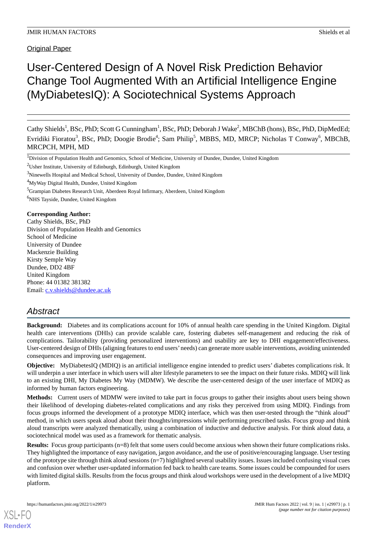Original Paper

# User-Centered Design of A Novel Risk Prediction Behavior Change Tool Augmented With an Artificial Intelligence Engine (MyDiabetesIQ): A Sociotechnical Systems Approach

Cathy Shields<sup>1</sup>, BSc, PhD; Scott G Cunningham<sup>1</sup>, BSc, PhD; Deborah J Wake<sup>2</sup>, MBChB (hons), BSc, PhD, DipMedEd; Evridiki Fioratou<sup>3</sup>, BSc, PhD; Doogie Brodie<sup>4</sup>; Sam Philip<sup>5</sup>, MBBS, MD, MRCP; Nicholas T Conway<sup>6</sup>, MBChB, MRCPCH, MPH, MD

<sup>3</sup>Ninewells Hospital and Medical School, University of Dundee, Dundee, United Kingdom

<sup>5</sup>Grampian Diabetes Research Unit, Aberdeen Royal Infirmary, Aberdeen, United Kingdom

 $6$ NHS Tayside, Dundee, United Kingdom

## **Corresponding Author:**

Cathy Shields, BSc, PhD Division of Population Health and Genomics School of Medicine University of Dundee Mackenzie Building Kirsty Semple Way Dundee, DD2 4BF United Kingdom Phone: 44 01382 381382 Email: [c.v.shields@dundee.ac.uk](mailto:c.v.shields@dundee.ac.uk)

# *Abstract*

**Background:** Diabetes and its complications account for 10% of annual health care spending in the United Kingdom. Digital health care interventions (DHIs) can provide scalable care, fostering diabetes self-management and reducing the risk of complications. Tailorability (providing personalized interventions) and usability are key to DHI engagement/effectiveness. User-centered design of DHIs (aligning features to end users'needs) can generate more usable interventions, avoiding unintended consequences and improving user engagement.

**Objective:** MyDiabetesIQ (MDIQ) is an artificial intelligence engine intended to predict users' diabetes complications risk. It will underpin a user interface in which users will alter lifestyle parameters to see the impact on their future risks. MDIQ will link to an existing DHI, My Diabetes My Way (MDMW). We describe the user-centered design of the user interface of MDIQ as informed by human factors engineering.

**Methods:** Current users of MDMW were invited to take part in focus groups to gather their insights about users being shown their likelihood of developing diabetes-related complications and any risks they perceived from using MDIQ. Findings from focus groups informed the development of a prototype MDIQ interface, which was then user-tested through the "think aloud" method, in which users speak aloud about their thoughts/impressions while performing prescribed tasks. Focus group and think aloud transcripts were analyzed thematically, using a combination of inductive and deductive analysis. For think aloud data, a sociotechnical model was used as a framework for thematic analysis.

**Results:** Focus group participants (n=8) felt that some users could become anxious when shown their future complications risks. They highlighted the importance of easy navigation, jargon avoidance, and the use of positive/encouraging language. User testing of the prototype site through think aloud sessions (n=7) highlighted several usability issues. Issues included confusing visual cues and confusion over whether user-updated information fed back to health care teams. Some issues could be compounded for users with limited digital skills. Results from the focus groups and think aloud workshops were used in the development of a live MDIQ platform.

<sup>&</sup>lt;sup>1</sup>Division of Population Health and Genomics, School of Medicine, University of Dundee, Dundee, United Kingdom

<sup>2</sup>Usher Institute, University of Edinburgh, Edinburgh, United Kingdom

<sup>4</sup>MyWay Digital Health, Dundee, United Kingdom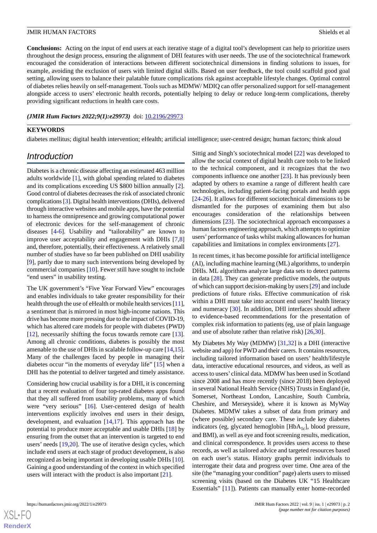**Conclusions:** Acting on the input of end users at each iterative stage of a digital tool's development can help to prioritize users throughout the design process, ensuring the alignment of DHI features with user needs. The use of the sociotechnical framework encouraged the consideration of interactions between different sociotechnical dimensions in finding solutions to issues, for example, avoiding the exclusion of users with limited digital skills. Based on user feedback, the tool could scaffold good goal setting, allowing users to balance their palatable future complications risk against acceptable lifestyle changes. Optimal control of diabetes relies heavily on self-management. Tools such as MDMW/ MDIQ can offer personalized support for self-management alongside access to users' electronic health records, potentially helping to delay or reduce long-term complications, thereby providing significant reductions in health care costs.

*(JMIR Hum Factors 2022;9(1):e29973)* doi:  $10.2196/29973$ 

#### **KEYWORDS**

diabetes mellitus; digital health intervention; eHealth; artificial intelligence; user-centred design; human factors; think aloud

# *Introduction*

Diabetes is a chronic disease affecting an estimated 463 million adults worldwide [[1\]](#page-10-0), with global spending related to diabetes and its complications exceeding US \$800 billion annually [[2\]](#page-10-1). Good control of diabetes decreases the risk of associated chronic complications [[3\]](#page-10-2). Digital health interventions (DHIs), delivered through interactive websites and mobile apps, have the potential to harness the omnipresence and growing computational power of electronic devices for the self-management of chronic diseases [\[4](#page-10-3)-[6\]](#page-10-4). Usability and "tailorability" are known to improve user acceptability and engagement with DHIs [[7](#page-10-5)[,8](#page-10-6)] and, therefore, potentially, their effectiveness. A relatively small number of studies have so far been published on DHI usability [[9\]](#page-10-7)*,* partly due to many such interventions being developed by commercial companies [\[10](#page-11-0)]. Fewer still have sought to include "end users" in usability testing.

The UK government's "Five Year Forward View" encourages and enables individuals to take greater responsibility for their health through the use of eHealth or mobile health services [\[11\]](#page-11-1), a sentiment that is mirrored in most high-income nations. This drive has become more pressing due to the impact of COVID-19, which has altered care models for people with diabetes (PWD) [[12\]](#page-11-2), necessarily shifting the focus towards remote care [[13\]](#page-11-3). Among all chronic conditions, diabetes is possibly the most amenable to the use of DHIs in scalable follow-up care [\[14](#page-11-4),[15\]](#page-11-5). Many of the challenges faced by people in managing their diabetes occur "in the moments of everyday life" [[15\]](#page-11-5) when a DHI has the potential to deliver targeted and timely assistance.

Considering how crucial usability is for a DHI, it is concerning that a recent evaluation of four top-rated diabetes apps found that they all suffered from usability problems, many of which were "very serious" [[16\]](#page-11-6). User-centered design of health interventions explicitly involves end users in their design, development, and evaluation [\[14](#page-11-4),[17\]](#page-11-7). This approach has the potential to produce more acceptable and usable DHIs [[18\]](#page-11-8) by ensuring from the outset that an intervention is targeted to end users' needs [\[19](#page-11-9),[20\]](#page-11-10). The use of iterative design cycles, which include end users at each stage of product development, is also recognized as being important in developing usable DHIs [[10\]](#page-11-0). Gaining a good understanding of the context in which specified users will interact with the product is also important [[21\]](#page-11-11).

Sittig and Singh's sociotechnical model [[22\]](#page-11-12) was developed to allow the social context of digital health care tools to be linked to the technical component, and it recognizes that the two components influence one another [[23\]](#page-11-13). It has previously been adapted by others to examine a range of different health care technologies, including patient-facing portals and health apps [[24](#page-11-14)[-26](#page-11-15)]. It allows for different sociotechnical dimensions to be dismantled for the purposes of examining them but also encourages consideration of the relationships between dimensions [[23\]](#page-11-13). The sociotechnical approach encompasses a human factors engineering approach, which attempts to optimize users'performance of tasks whilst making allowances for human capabilities and limitations in complex environments [[27\]](#page-11-16).

In recent times, it has become possible for artificial intelligence (AI), including machine learning (ML) algorithms, to underpin DHIs. ML algorithms analyze large data sets to detect patterns in data [[28\]](#page-11-17). They can generate predictive models, the outputs of which can support decision-making by users [\[29](#page-11-18)] and include predictions of future risks. Effective communication of risk within a DHI must take into account end users' health literacy and numeracy [\[30](#page-11-19)]. In addition, DHI interfaces should adhere to evidence-based recommendations for the presentation of complex risk information to patients (eg, use of plain language and use of absolute rather than relative risk) [[26](#page-11-15)[,30](#page-11-19)].

My Diabetes My Way (MDMW) [\[31](#page-11-20),[32\]](#page-11-21) is a DHI (interactive website and app) for PWD and their carers. It contains resources, including tailored information based on users' health/lifestyle data, interactive educational resources, and videos, as well as access to users' clinical data. MDMW has been used in Scotland since 2008 and has more recently (since 2018) been deployed in several National Health Service (NHS) Trusts in England (ie, Somerset, Northeast London, Lancashire, South Cumbria, Cheshire, and Merseyside), where it is known as MyWay Diabetes. MDMW takes a subset of data from primary and (where possible) secondary care. These include key diabetes indicators (eg, glycated hemoglobin  $[HbA<sub>1c</sub>]$ , blood pressure, and BMI), as well as eye and foot screening results, medication, and clinical correspondence. It provides users access to these records, as well as tailored advice and targeted resources based on each user's status. History graphs permit individuals to interrogate their data and progress over time. One area of the site (the "managing your condition" page) alerts users to missed screening visits (based on the Diabetes UK "15 Healthcare Essentials" [[11\]](#page-11-1)). Patients can manually enter home-recorded

 $XS$  $\cdot$ FC **[RenderX](http://www.renderx.com/)**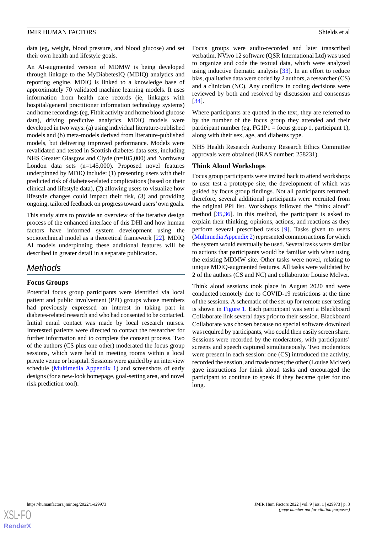data (eg, weight, blood pressure, and blood glucose) and set their own health and lifestyle goals.

An AI-augmented version of MDMW is being developed through linkage to the MyDiabetesIQ (MDIQ) analytics and reporting engine. MDIQ is linked to a knowledge base of approximately 70 validated machine learning models. It uses information from health care records (ie, linkages with hospital/general practitioner information technology systems) and home recordings (eg, Fitbit activity and home blood glucose data), driving predictive analytics. MDIQ models were developed in two ways: (a) using individual literature-published models and (b) meta-models derived from literature-published models, but delivering improved performance. Models were revalidated and tested in Scottish diabetes data sets, including NHS Greater Glasgow and Clyde (n=105,000) and Northwest London data sets (n=145,000). Proposed novel features underpinned by MDIQ include: (1) presenting users with their predicted risk of diabetes-related complications (based on their clinical and lifestyle data), (2) allowing users to visualize how lifestyle changes could impact their risk, (3) and providing ongoing, tailored feedback on progress toward users'own goals.

This study aims to provide an overview of the iterative design process of the enhanced interface of this DHI and how human factors have informed system development using the sociotechnical model as a theoretical framework [[22\]](#page-11-12). MDIQ AI models underpinning these additional features will be described in greater detail in a separate publication.

# *Methods*

# **Focus Groups**

Potential focus group participants were identified via local patient and public involvement (PPI) groups whose members had previously expressed an interest in taking part in diabetes-related research and who had consented to be contacted. Initial email contact was made by local research nurses. Interested patients were directed to contact the researcher for further information and to complete the consent process. Two of the authors (CS plus one other) moderated the focus group sessions, which were held in meeting rooms within a local private venue or hospital. Sessions were guided by an interview schedule ([Multimedia Appendix 1\)](#page-10-8) and screenshots of early designs (for a new-look homepage, goal-setting area, and novel risk prediction tool).

Focus groups were audio-recorded and later transcribed verbatim. NVivo 12 software (QSR International Ltd) was used to organize and code the textual data, which were analyzed using inductive thematic analysis [[33\]](#page-11-22). In an effort to reduce bias, qualitative data were coded by 2 authors, a researcher (CS) and a clinician (NC). Any conflicts in coding decisions were reviewed by both and resolved by discussion and consensus [[34\]](#page-12-0).

Where participants are quoted in the text, they are referred to by the number of the focus group they attended and their participant number (eg, FG1P1 = focus group 1, participant 1), along with their sex, age, and diabetes type.

NHS Health Research Authority Research Ethics Committee approvals were obtained (IRAS number: 258231).

# **Think Aloud Workshops**

Focus group participants were invited back to attend workshops to user test a prototype site, the development of which was guided by focus group findings. Not all participants returned; therefore, several additional participants were recruited from the original PPI list. Workshops followed the "think aloud" method [\[35](#page-12-1),[36\]](#page-12-2). In this method, the participant is asked to explain their thinking, opinions, actions, and reactions as they perform several prescribed tasks [[9\]](#page-10-7). Tasks given to users ([Multimedia Appendix 2](#page-10-9)) represented common actions for which the system would eventually be used. Several tasks were similar to actions that participants would be familiar with when using the existing MDMW site. Other tasks were novel, relating to unique MDIQ-augmented features. All tasks were validated by 2 of the authors (CS and NC) and collaborator Louise McIver.

Think aloud sessions took place in August 2020 and were conducted remotely due to COVID-19 restrictions at the time of the sessions. A schematic of the set-up for remote user testing is shown in [Figure 1](#page-3-0). Each participant was sent a Blackboard Collaborate link several days prior to their session. Blackboard Collaborate was chosen because no special software download was required by participants, who could then easily screen share. Sessions were recorded by the moderators, with participants' screens and speech captured simultaneously. Two moderators were present in each session: one (CS) introduced the activity, recorded the session, and made notes; the other (Louise McIver) gave instructions for think aloud tasks and encouraged the participant to continue to speak if they became quiet for too long.

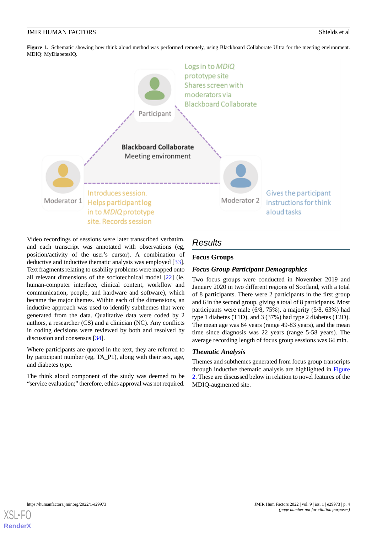<span id="page-3-0"></span>Figure 1. Schematic showing how think aloud method was performed remotely, using Blackboard Collaborate Ultra for the meeting environment. MDIQ: MyDiabetesIQ.



Video recordings of sessions were later transcribed verbatim, and each transcript was annotated with observations (eg, position/activity of the user's cursor). A combination of deductive and inductive thematic analysis was employed [[33\]](#page-11-22). Text fragments relating to usability problems were mapped onto all relevant dimensions of the sociotechnical model [[22\]](#page-11-12) (ie, human-computer interface, clinical content, workflow and communication, people, and hardware and software), which became the major themes. Within each of the dimensions, an inductive approach was used to identify subthemes that were generated from the data. Qualitative data were coded by 2 authors, a researcher (CS) and a clinician (NC). Any conflicts in coding decisions were reviewed by both and resolved by discussion and consensus [\[34](#page-12-0)].

Where participants are quoted in the text, they are referred to by participant number (eg, TA\_P1), along with their sex, age, and diabetes type.

The think aloud component of the study was deemed to be "service evaluation;" therefore, ethics approval was not required.

# *Results*

# **Focus Groups**

# *Focus Group Participant Demographics*

Two focus groups were conducted in November 2019 and January 2020 in two different regions of Scotland, with a total of 8 participants. There were 2 participants in the first group and 6 in the second group, giving a total of 8 participants. Most participants were male (6/8, 75%), a majority (5/8, 63%) had type 1 diabetes (T1D), and 3 (37%) had type 2 diabetes (T2D). The mean age was 64 years (range 49-83 years), and the mean time since diagnosis was 22 years (range 5-58 years). The average recording length of focus group sessions was 64 min.

# *Thematic Analysis*

Themes and subthemes generated from focus group transcripts through inductive thematic analysis are highlighted in [Figure](#page-4-0) [2.](#page-4-0) These are discussed below in relation to novel features of the MDIQ-augmented site.

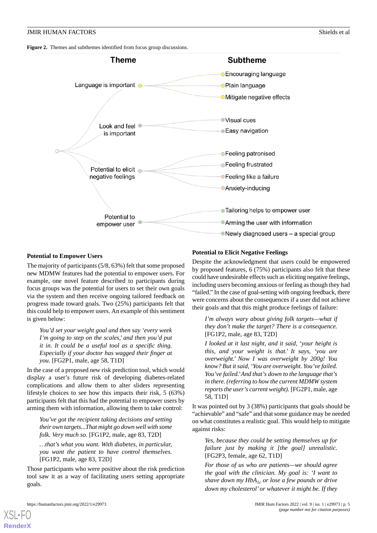<span id="page-4-0"></span>**Figure 2.** Themes and subthemes identified from focus group discussions.



#### **Potential to Empower Users**

The majority of participants (5/8, 63%) felt that some proposed new MDMW features had the potential to empower users. For example, one novel feature described to participants during focus groups was the potential for users to set their own goals via the system and then receive ongoing tailored feedback on progress made toward goals. Two (25%) participants felt that this could help to empower users. An example of this sentiment is given below:

*You'd set your weight goal and then say 'every week I'm going to step on the scales,' and then you'd put it in. It could be a useful tool as a specific thing. Especially if your doctor has wagged their finger at you.* [FG2P1, male, age 58, T1D]

In the case of a proposed new risk prediction tool, which would display a user's future risk of developing diabetes-related complications and allow them to alter sliders representing lifestyle choices to see how this impacts their risk, 5 (63%) participants felt that this had the potential to empower users by arming them with information, allowing them to take control:

*You've got the recipient taking decisions and setting their own targets...That might go down well with some folk. Very much so.* [FG1P2, male, age 83, T2D]

*…that's what you want. With diabetes, in particular, you want the patient to have control themselves.* [FG1P2, male, age 83, T2D]

Those participants who were positive about the risk prediction tool saw it as a way of facilitating users setting appropriate goals.

#### **Potential to Elicit Negative Feelings**

Despite the acknowledgment that users could be empowered by proposed features, 6 (75%) participants also felt that these could have undesirable effects such as eliciting negative feelings, including users becoming anxious or feeling as though they had "failed." In the case of goal-setting with ongoing feedback, there were concerns about the consequences if a user did not achieve their goals and that this might produce feelings of failure:

*I'm always wary about giving folk targets—what if they don't make the target? There is a consequence.* [FG1P2, male, age 83, T2D]

*I looked at it last night, and it said, 'your height is this, and your weight is that.' It says, 'you are overweight.' Now I was overweight by 200g! You know? But it said, 'You are overweight. You've failed. You've failed.'And that's down to the language that's in there. (referring to how the current MDMW system reports the user's current weight).* [FG2P1, male, age 58, T1D]

It was pointed out by 3 (38%) participants that goals should be "achievable" and "safe" and that some guidance may be needed on what constitutes a realistic goal. This would help to mitigate against risks:

*Yes, because they could be setting themselves up for failure just by making it [the goal] unrealistic.* [FG2P3, female, age 62, T1D]

*For those of us who are patients—we should agree the goal with the clinician. My goal is: 'I want to shave down my HbA1c or lose a few pounds or drive down my cholesterol' or whatever it might be. If they*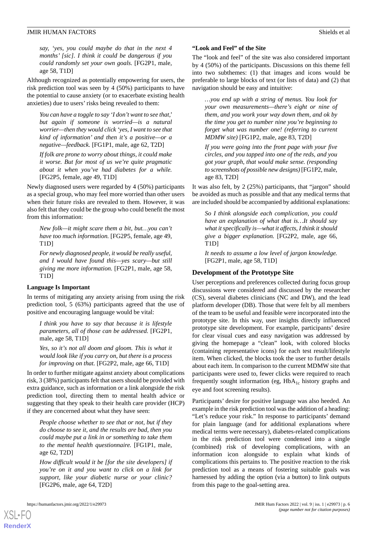*say, 'yes, you could maybe do that in the next 4 months' [sic]. I think it could be dangerous if you could randomly set your own goals.* [FG2P1, male, age 58, T1D]

Although recognized as potentially empowering for users, the risk prediction tool was seen by 4 (50%) participants to have the potential to cause anxiety (or to exacerbate existing health anxieties) due to users' risks being revealed to them:

*You can have a toggle to say 'I don't want to see that,' but again if someone is worried—is a natural worrier—then they would click 'yes, I want to see that kind of information' and then it's a positive—or a negative—feedback.* [FG1P1, male, age 62, T2D]

*If folk are prone to worry about things, it could make it worse. But for most of us we're quite pragmatic about it when you've had diabetes for a while.* [FG2P5, female, age 49, T1D]

Newly diagnosed users were regarded by 4 (50%) participants as a special group, who may feel more worried than other users when their future risks are revealed to them. However, it was also felt that they could be the group who could benefit the most from this information:

*New folk—it might scare them a bit, but…you can't have too much information.* [FG2P5, female, age 49, T1D]

*For newly diagnosed people, it would be really useful, and I would have found this—yes scary—but still giving me more information.* [FG2P1, male, age 58, T1D]

## **Language Is Important**

In terms of mitigating any anxiety arising from using the risk prediction tool, 5 (63%) participants agreed that the use of positive and encouraging language would be vital:

*I think you have to say that because it is lifestyle parameters, all of those can be addressed.* [FG2P1, male, age 58, T1D]

*Yes, so it's not all doom and gloom. This is what it would look like if you carry on, but there is a process for improving on that.* [FG2P2, male, age 66, T1D]

In order to further mitigate against anxiety about complications risk, 3 (38%) participants felt that users should be provided with extra guidance, such as information or a link alongside the risk prediction tool, directing them to mental health advice or suggesting that they speak to their health care provider (HCP) if they are concerned about what they have seen:

*People choose whether to see that or not, but if they do choose to see it, and the results are bad, then you could maybe put a link in or something to take them to the mental health questionnaire.* [FG1P1, male, age 62, T2D]

*How difficult would it be [for the site developers] if you're on it and you want to click on a link for support, like your diabetic nurse or your clinic?* [FG2P6, male, age 64, T2D]

# **"Look and Feel" of the Site**

The "look and feel" of the site was also considered important by 4 (50%) of the participants. Discussions on this theme fell into two subthemes: (1) that images and icons would be preferable to large blocks of text (or lists of data) and (2) that navigation should be easy and intuitive:

*…you end up with a string of menus. You look for your own measurements—there's eight or nine of them, and you work your way down them, and ok by the time you get to number nine you're beginning to forget what was number one! (referring to current MDMW site)* [FG1P2, male, age 83, T2D]

*If you were going into the front page with your five circles, and you tapped into one of the reds, and you got your graph, that would make sense. (responding to screenshots of possible new designs)* [FG1P2, male, age 83, T2D]

It was also felt, by 2 (25%) participants, that "jargon" should be avoided as much as possible and that any medical terms that are included should be accompanied by additional explanations:

*So I think alongside each complication, you could have an explanation of what that is…It should say what it specifically is—what it affects, I think it should give a bigger explanation.* [FG2P2, male, age 66, T1D]

*It needs to assume a low level of jargon knowledge.* [FG2P1, male, age 58, T1D]

## **Development of the Prototype Site**

User perceptions and preferences collected during focus group discussions were considered and discussed by the researcher (CS), several diabetes clinicians (NC and DW), and the lead platform developer (DB). Those that were felt by all members of the team to be useful and feasible were incorporated into the prototype site. In this way, user insights directly influenced prototype site development. For example, participants' desire for clear visual cues and easy navigation was addressed by giving the homepage a "clean" look, with colored blocks (containing representative icons) for each test result/lifestyle item. When clicked, the blocks took the user to further details about each item. In comparison to the current MDMW site that participants were used to, fewer clicks were required to reach frequently sought information (eg,  $HbA_{1c}$  history graphs and eye and foot screening results).

Participants' desire for positive language was also heeded. An example in the risk prediction tool was the addition of a heading: "Let's reduce your risk." In response to participants' demand for plain language (and for additional explanations where medical terms were necessary), diabetes-related complications in the risk prediction tool were condensed into a single (combined) risk of developing complications, with an information icon alongside to explain what kinds of complications this pertains to. The positive reaction to the risk prediction tool as a means of fostering suitable goals was harnessed by adding the option (via a button) to link outputs from this page to the goal-setting area.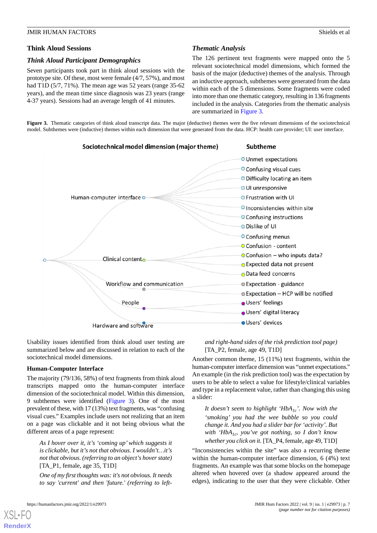## **Think Aloud Sessions**

### *Think Aloud Participant Demographics*

Seven participants took part in think aloud sessions with the prototype site. Of these, most were female (4/7, 57%), and most had T1D (5/7, 71%). The mean age was 52 years (range 35-62) years), and the mean time since diagnosis was 23 years (range 4-37 years). Sessions had an average length of 41 minutes.

# *Thematic Analysis*

The 126 pertinent text fragments were mapped onto the 5 relevant sociotechnical model dimensions, which formed the basis of the major (deductive) themes of the analysis. Through an inductive approach, subthemes were generated from the data within each of the 5 dimensions. Some fragments were coded into more than one thematic category, resulting in 136 fragments included in the analysis. Categories from the thematic analysis are summarized in [Figure 3.](#page-6-0)

<span id="page-6-0"></span>Figure 3. Thematic categories of think aloud transcript data. The major (deductive) themes were the five relevant dimensions of the sociotechnical model. Subthemes were (inductive) themes within each dimension that were generated from the data. HCP: health care provider; UI: user interface.



Usability issues identified from think aloud user testing are summarized below and are discussed in relation to each of the sociotechnical model dimensions.

#### **Human-Computer Interface**

The majority (79/136, 58%) of text fragments from think aloud transcripts mapped onto the human-computer interface dimension of the sociotechnical model. Within this dimension, 9 subthemes were identified ([Figure 3](#page-6-0)). One of the most prevalent of these, with 17 (13%) text fragments, was "confusing visual cues." Examples include users not realizing that an item on a page was clickable and it not being obvious what the different areas of a page represent:

*As I hover over it, it's 'coming up'which suggests it is clickable, but it's not that obvious. I wouldn't…it's not that obvious. (referring to an object's hover state)* [TA\_P1, female, age 35, T1D]

*One of my first thoughts was: it's not obvious. It needs to say 'current' and then 'future.' (referring to left-* *and right-hand sides of the risk prediction tool page)* [TA  $P2$ , female, age 49, T1D]

Another common theme, 15 (11%) text fragments, within the human-computer interface dimension was "unmet expectations." An example (in the risk prediction tool) was the expectation by users to be able to select a value for lifestyle/clinical variables and type in a replacement value, rather than changing this using a slider:

*It doesn't seem to highlight 'HbA1c'. Now with the 'smoking' you had the wee bubble so you could change it. And you had a slider bar for 'activity'. But with 'HbA1c, you've got nothing, so I don't know whether you click on it.* [TA\_P4, female, age 49, T1D]

"Inconsistencies within the site" was also a recurring theme within the human-computer interface dimension, 6 (4%) text fragments. An example was that some blocks on the homepage altered when hovered over (a shadow appeared around the edges), indicating to the user that they were clickable. Other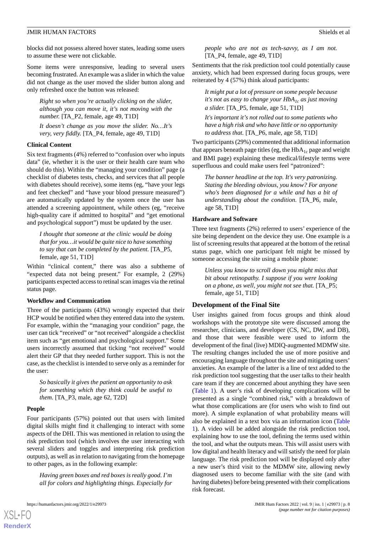blocks did not possess altered hover states, leading some users to assume these were not clickable.

Some items were unresponsive, leading to several users becoming frustrated. An example was a slider in which the value did not change as the user moved the slider button along and only refreshed once the button was released:

*Right so when you're actually clicking on the slider, although you can move it, it's not moving with the number.* [TA\_P2, female, age 49, T1D]

*It doesn't change as you move the slider. No…It's very, very fiddly.* [TA\_P4, female, age 49, T1D]

#### **Clinical Content**

Six text fragments (4%) referred to "confusion over who inputs data" (ie, whether it is the user or their health care team who should do this). Within the "managing your condition" page (a checklist of diabetes tests, checks, and services that all people with diabetes should receive), some items (eg, "have your legs and feet checked" and "have your blood pressure measured") are automatically updated by the system once the user has attended a screening appointment, while others (eg, "receive high-quality care if admitted to hospital" and "get emotional and psychological support") must be updated by the user.

*I thought that someone at the clinic would be doing that for you…it would be quite nice to have something to say that can be completed by the patient.* [TA\_P5, female, age 51, T1D]

Within "clinical content," there was also a subtheme of "expected data not being present." For example, 2 (29%) participants expected access to retinal scan images via the retinal status page.

#### **Workflow and Communication**

Three of the participants (43%) wrongly expected that their HCP would be notified when they entered data into the system. For example, within the "managing your condition" page, the user can tick "received" or "not received" alongside a checklist item such as "get emotional and psychological support." Some users incorrectly assumed that ticking "not received" would alert their GP that they needed further support. This is not the case, as the checklist is intended to serve only as a reminder for the user:

*So basically it gives the patient an opportunity to ask for something which they think could be useful to them.* [TA\_P3, male, age 62, T2D]

#### **People**

[XSL](http://www.w3.org/Style/XSL)•FO **[RenderX](http://www.renderx.com/)**

Four participants (57%) pointed out that users with limited digital skills might find it challenging to interact with some aspects of the DHI. This was mentioned in relation to using the risk prediction tool (which involves the user interacting with several sliders and toggles and interpreting risk prediction outputs), as well as in relation to navigating from the homepage to other pages, as in the following example:

*Having green boxes and red boxes is really good. I'm all for colors and highlighting things. Especially for*

*people who are not as tech-savvy, as I am not.* [TA\_P4, female, age 49, T1D]

Sentiments that the risk prediction tool could potentially cause anxiety, which had been expressed during focus groups, were reiterated by 4 (57%) think aloud participants:

*It might put a lot of pressure on some people because it's not as easy to change your HbA1c as just moving a slider.* [TA\_P5, female, age 51, T1D]

*It's important it's not rolled out to some patients who have a high risk and who have little or no opportunity to address that.* [TA\_P6, male, age 58, T1D]

Two participants (29%) commented that additional information that appears beneath page titles (eg, the  $HbA_{1c}$  page and weight and BMI page) explaining these medical/lifestyle terms were superfluous and could make users feel "patronized":

*The banner headline at the top. It's very patronizing. Stating the bleeding obvious, you know? For anyone who's been diagnosed for a while and has a bit of understanding about the condition.* [TA\_P6, male, age 58, T1D]

## **Hardware and Software**

Three text fragments (2%) referred to users' experience of the site being dependent on the device they use. One example is a list of screening results that appeared at the bottom of the retinal status page, which one participant felt might be missed by someone accessing the site using a mobile phone:

*Unless you know to scroll down you might miss that bit about retinopathy. I suppose if you were looking on a phone, as well, you might not see that.* [TA\_P5; female, age 51, T1D]

#### **Development of the Final Site**

User insights gained from focus groups and think aloud workshops with the prototype site were discussed among the researcher, clinicians, and developer (CS, NC, DW, and DB), and those that were feasible were used to inform the development of the final (live) MDIQ-augmented MDMW site. The resulting changes included the use of more positive and encouraging language throughout the site and mitigating users' anxieties. An example of the latter is a line of text added to the risk prediction tool suggesting that the user talks to their health care team if they are concerned about anything they have seen ([Table 1\)](#page-8-0). A user's risk of developing complications will be presented as a single "combined risk," with a breakdown of what those complications are (for users who wish to find out more). A simple explanation of what probability means will also be explained in a text box via an information icon ([Table](#page-8-0) [1\)](#page-8-0). A video will be added alongside the risk prediction tool, explaining how to use the tool, defining the terms used within the tool, and what the outputs mean. This will assist users with low digital and health literacy and will satisfy the need for plain language. The risk prediction tool will be displayed only after a new user's third visit to the MDMW site, allowing newly diagnosed users to become familiar with the site (and with having diabetes) before being presented with their complications risk forecast.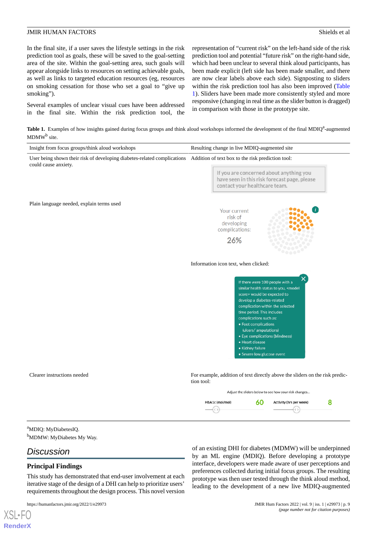In the final site, if a user saves the lifestyle settings in the risk prediction tool as goals, these will be saved to the goal-setting area of the site. Within the goal-setting area, such goals will appear alongside links to resources on setting achievable goals, as well as links to targeted education resources (eg, resources on smoking cessation for those who set a goal to "give up smoking").

<span id="page-8-0"></span>Several examples of unclear visual cues have been addressed in the final site. Within the risk prediction tool, the representation of "current risk" on the left-hand side of the risk prediction tool and potential "future risk" on the right-hand side, which had been unclear to several think aloud participants, has been made explicit (left side has been made smaller, and there are now clear labels above each side). Signposting to sliders within the risk prediction tool has also been improved ([Table](#page-8-0) [1\)](#page-8-0). Sliders have been made more consistently styled and more responsive (changing in real time as the slider button is dragged) in comparison with those in the prototype site.

Table 1. Examples of how insights gained during focus groups and think aloud workshops informed the development of the final MDIQ<sup>a</sup>-augmented MDMW<sup>b</sup> site.



<sup>b</sup>MDMW: MyDiabetes My Way.

# *Discussion*

[XSL](http://www.w3.org/Style/XSL)•FO **[RenderX](http://www.renderx.com/)**

# **Principal Findings**

This study has demonstrated that end-user involvement at each iterative stage of the design of a DHI can help to prioritize users' requirements throughout the design process. This novel version

of an existing DHI for diabetes (MDMW) will be underpinned by an ML engine (MDIQ). Before developing a prototype interface, developers were made aware of user perceptions and preferences collected during initial focus groups. The resulting prototype was then user tested through the think aloud method, leading to the development of a new live MDIQ-augmented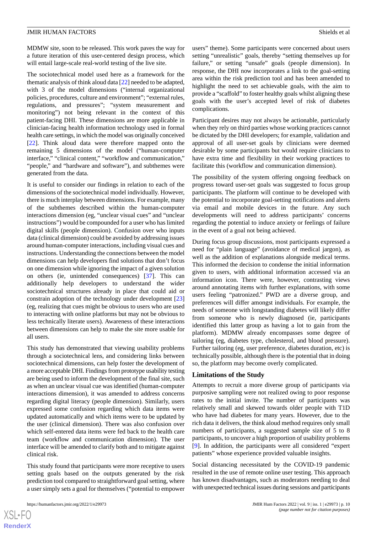MDMW site, soon to be released. This work paves the way for a future iteration of this user-centered design process, which will entail large-scale real-world testing of the live site.

The sociotechnical model used here as a framework for the thematic analysis of think aloud data [[22\]](#page-11-12) needed to be adapted, with 3 of the model dimensions ("internal organizational policies, procedures, culture and environment"; "external rules, regulations, and pressures"; "system measurement and monitoring") not being relevant in the context of this patient-facing DHI. These dimensions are more applicable in clinician-facing health information technology used in formal health care settings, in which the model was originally conceived [[22\]](#page-11-12). Think aloud data were therefore mapped onto the remaining 5 dimensions of the model ("human-computer interface," "clinical content," "workflow and communication," "people," and "hardware and software"), and subthemes were generated from the data.

It is useful to consider our findings in relation to each of the dimensions of the sociotechnical model individually. However, there is much interplay between dimensions. For example, many of the subthemes described within the human-computer interactions dimension (eg, "unclear visual cues" and "unclear instructions") would be compounded for a user who has limited digital skills (people dimension). Confusion over who inputs data (clinical dimension) could be avoided by addressing issues around human-computer interactions, including visual cues and instructions. Understanding the connections between the model dimensions can help developers find solutions that don't focus on one dimension while ignoring the impact of a given solution on others (ie, unintended consequences) [\[37](#page-12-3)]. This can additionally help developers to understand the wider sociotechnical structures already in place that could aid or constrain adoption of the technology under development [\[23](#page-11-13)] (eg, realizing that cues might be obvious to users who are used to interacting with online platforms but may not be obvious to less technically literate users). Awareness of these interactions between dimensions can help to make the site more usable for all users.

This study has demonstrated that viewing usability problems through a sociotechnical lens, and considering links between sociotechnical dimensions, can help foster the development of a more acceptable DHI. Findings from prototype usability testing are being used to inform the development of the final site, such as when an unclear visual cue was identified (human-computer interactions dimension), it was amended to address concerns regarding digital literacy (people dimension). Similarly, users expressed some confusion regarding which data items were updated automatically and which items were to be updated by the user (clinical dimension). There was also confusion over which self-entered data items were fed back to the health care team (workflow and communication dimension). The user interface will be amended to clarify both and to mitigate against clinical risk.

This study found that participants were more receptive to users setting goals based on the outputs generated by the risk prediction tool compared to straightforward goal setting, where a user simply sets a goal for themselves ("potential to empower

users" theme). Some participants were concerned about users setting "unrealistic" goals, thereby "setting themselves up for failure," or setting "unsafe" goals (people dimension). In response, the DHI now incorporates a link to the goal-setting area within the risk prediction tool and has been amended to highlight the need to set achievable goals, with the aim to provide a "scaffold" to foster healthy goals whilst aligning these goals with the user's accepted level of risk of diabetes complications.

Participant desires may not always be actionable, particularly when they rely on third parties whose working practices cannot be dictated by the DHI developers; for example, validation and approval of all user-set goals by clinicians were deemed desirable by some participants but would require clinicians to have extra time and flexibility in their working practices to facilitate this (workflow and communication dimension).

The possibility of the system offering ongoing feedback on progress toward user-set goals was suggested to focus group participants. The platform will continue to be developed with the potential to incorporate goal-setting notifications and alerts via email and mobile devices in the future. Any such developments will need to address participants' concerns regarding the potential to induce anxiety or feelings of failure in the event of a goal not being achieved.

During focus group discussions, most participants expressed a need for "plain language" (avoidance of medical jargon), as well as the addition of explanations alongside medical terms. This informed the decision to condense the initial information given to users, with additional information accessed via an information icon. There were, however, contrasting views around annotating items with further explanations, with some users feeling "patronized." PWD are a diverse group, and preferences will differ amongst individuals. For example, the needs of someone with longstanding diabetes will likely differ from someone who is newly diagnosed (ie, participants identified this latter group as having a lot to gain from the platform). MDMW already encompasses some degree of tailoring (eg, diabetes type, cholesterol, and blood pressure). Further tailoring (eg, user preference, diabetes duration, etc) is technically possible, although there is the potential that in doing so, the platform may become overly complicated.

#### **Limitations of the Study**

Attempts to recruit a more diverse group of participants via purposive sampling were not realized owing to poor response rates to the initial invite. The number of participants was relatively small and skewed towards older people with T1D who have had diabetes for many years. However, due to the rich data it delivers, the think aloud method requires only small numbers of participants, a suggested sample size of 5 to 8 participants, to uncover a high proportion of usability problems [[9\]](#page-10-7). In addition, the participants were all considered "expert patients" whose experience provided valuable insights.

Social distancing necessitated by the COVID-19 pandemic resulted in the use of remote online user testing. This approach has known disadvantages, such as moderators needing to deal with unexpected technical issues during sessions and participants

```
XS\cdotFC
RenderX
```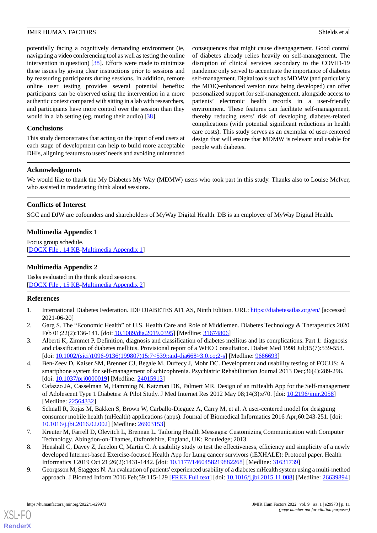potentially facing a cognitively demanding environment (ie, navigating a video conferencing tool as well as testing the online intervention in question) [[38\]](#page-12-4). Efforts were made to minimize these issues by giving clear instructions prior to sessions and by reassuring participants during sessions. In addition, remote online user testing provides several potential benefits: participants can be observed using the intervention in a more authentic context compared with sitting in a lab with researchers, and participants have more control over the session than they would in a lab setting (eg, muting their audio) [[38\]](#page-12-4).

# **Conclusions**

This study demonstrates that acting on the input of end users at each stage of development can help to build more acceptable DHIs, aligning features to users'needs and avoiding unintended consequences that might cause disengagement. Good control of diabetes already relies heavily on self-management. The disruption of clinical services secondary to the COVID-19 pandemic only served to accentuate the importance of diabetes self-management. Digital tools such as MDMW (and particularly the MDIQ-enhanced version now being developed) can offer personalized support for self-management, alongside access to patients' electronic health records in a user-friendly environment. These features can facilitate self-management, thereby reducing users' risk of developing diabetes-related complications (with potential significant reductions in health care costs). This study serves as an exemplar of user-centered design that will ensure that MDMW is relevant and usable for people with diabetes.

# **Acknowledgments**

We would like to thank the My Diabetes My Way (MDMW) users who took part in this study. Thanks also to Louise McIver, who assisted in moderating think aloud sessions.

# <span id="page-10-8"></span>**Conflicts of Interest**

SGC and DJW are cofounders and shareholders of MyWay Digital Health. DB is an employee of MyWay Digital Health.

# **Multimedia Appendix 1**

<span id="page-10-9"></span>Focus group schedule. [[DOCX File , 14 KB](https://jmir.org/api/download?alt_name=humanfactors_v9i1e29973_app1.docx&filename=c150ebe6e6ef7300677337e65f8ed95d.docx)-[Multimedia Appendix 1\]](https://jmir.org/api/download?alt_name=humanfactors_v9i1e29973_app1.docx&filename=c150ebe6e6ef7300677337e65f8ed95d.docx)

# **Multimedia Appendix 2**

<span id="page-10-0"></span>Tasks evaluated in the think aloud sessions. [[DOCX File , 15 KB](https://jmir.org/api/download?alt_name=humanfactors_v9i1e29973_app2.docx&filename=d572e32bf8d1b61f2c3aaadae563b77b.docx)-[Multimedia Appendix 2\]](https://jmir.org/api/download?alt_name=humanfactors_v9i1e29973_app2.docx&filename=d572e32bf8d1b61f2c3aaadae563b77b.docx)

# <span id="page-10-1"></span>**References**

- <span id="page-10-2"></span>1. International Diabetes Federation. IDF DIABETES ATLAS, Ninth Edition. URL: <https://diabetesatlas.org/en/> [accessed 2021-06-20]
- <span id="page-10-3"></span>2. Garg S. The "Economic Health" of U.S. Health Care and Role of Middlemen. Diabetes Technology & Therapeutics 2020 Feb 01;22(2):136-141. [doi: [10.1089/dia.2019.0395\]](http://dx.doi.org/10.1089/dia.2019.0395) [Medline: [31674806](http://www.ncbi.nlm.nih.gov/entrez/query.fcgi?cmd=Retrieve&db=PubMed&list_uids=31674806&dopt=Abstract)]
- 3. Alberti K, Zimmet P. Definition, diagnosis and classification of diabetes mellitus and its complications. Part 1: diagnosis and classification of diabetes mellitus. Provisional report of a WHO Consultation. Diabet Med 1998 Jul;15(7):539-553. [doi: [10.1002/\(sici\)1096-9136\(199807\)15:7<539::aid-dia668>3.0.co;2-s\]](http://dx.doi.org/10.1002/(sici)1096-9136(199807)15:7<539::aid-dia668>3.0.co;2-s) [Medline: [9686693](http://www.ncbi.nlm.nih.gov/entrez/query.fcgi?cmd=Retrieve&db=PubMed&list_uids=9686693&dopt=Abstract)]
- <span id="page-10-4"></span>4. Ben-Zeev D, Kaiser SM, Brenner CJ, Begale M, Duffecy J, Mohr DC. Development and usability testing of FOCUS: A smartphone system for self-management of schizophrenia. Psychiatric Rehabilitation Journal 2013 Dec;36(4):289-296. [doi: [10.1037/prj0000019](http://dx.doi.org/10.1037/prj0000019)] [Medline: [24015913](http://www.ncbi.nlm.nih.gov/entrez/query.fcgi?cmd=Retrieve&db=PubMed&list_uids=24015913&dopt=Abstract)]
- <span id="page-10-5"></span>5. Cafazzo JA, Casselman M, Hamming N, Katzman DK, Palmert MR. Design of an mHealth App for the Self-management of Adolescent Type 1 Diabetes: A Pilot Study. J Med Internet Res 2012 May 08;14(3):e70. [doi: [10.2196/jmir.2058](http://dx.doi.org/10.2196/jmir.2058)] [Medline: [22564332](http://www.ncbi.nlm.nih.gov/entrez/query.fcgi?cmd=Retrieve&db=PubMed&list_uids=22564332&dopt=Abstract)]
- <span id="page-10-6"></span>6. Schnall R, Rojas M, Bakken S, Brown W, Carballo-Dieguez A, Carry M, et al. A user-centered model for designing consumer mobile health (mHealth) applications (apps). Journal of Biomedical Informatics 2016 Apr;60:243-251. [doi: [10.1016/j.jbi.2016.02.002](http://dx.doi.org/10.1016/j.jbi.2016.02.002)] [Medline: [26903153\]](http://www.ncbi.nlm.nih.gov/entrez/query.fcgi?cmd=Retrieve&db=PubMed&list_uids=26903153&dopt=Abstract)
- <span id="page-10-7"></span>7. Kreuter M, Farrell D, Olevitch L, Brennan L. Tailoring Health Messages: Customizing Communication with Computer Technology. Abingdon-on-Thames, Oxfordshire, England, UK: Routledge; 2013.
- 8. Henshall C, Davey Z, Jacelon C, Martin C. A usability study to test the effectiveness, efficiency and simplicity of a newly developed Internet-based Exercise-focused Health App for Lung cancer survivors (iEXHALE): Protocol paper. Health Informatics J 2019 Oct 21;26(2):1431-1442. [doi: [10.1177/1460458219882268](http://dx.doi.org/10.1177/1460458219882268)] [Medline: [31631739\]](http://www.ncbi.nlm.nih.gov/entrez/query.fcgi?cmd=Retrieve&db=PubMed&list_uids=31631739&dopt=Abstract)
- 9. Georgsson M, Staggers N. An evaluation of patients' experienced usability of a diabetes mHealth system using a multi-method approach. J Biomed Inform 2016 Feb;59:115-129 [[FREE Full text](http://linkinghub.elsevier.com/retrieve/pii/S1532-0464(15)00276-2)] [doi: [10.1016/j.jbi.2015.11.008\]](http://dx.doi.org/10.1016/j.jbi.2015.11.008) [Medline: [26639894](http://www.ncbi.nlm.nih.gov/entrez/query.fcgi?cmd=Retrieve&db=PubMed&list_uids=26639894&dopt=Abstract)]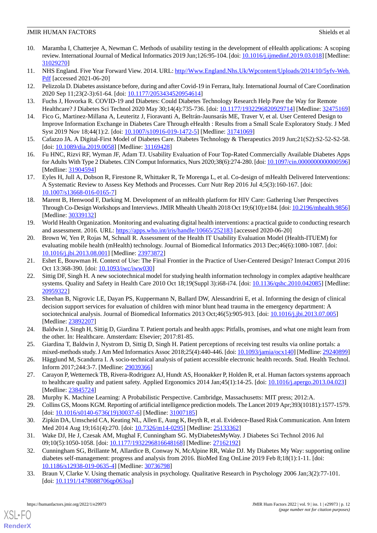- <span id="page-11-0"></span>10. Maramba I, Chatterjee A, Newman C. Methods of usability testing in the development of eHealth applications: A scoping review. International Journal of Medical Informatics 2019 Jun;126:95-104. [doi: [10.1016/j.ijmedinf.2019.03.018](http://dx.doi.org/10.1016/j.ijmedinf.2019.03.018)] [Medline: [31029270](http://www.ncbi.nlm.nih.gov/entrez/query.fcgi?cmd=Retrieve&db=PubMed&list_uids=31029270&dopt=Abstract)]
- <span id="page-11-2"></span><span id="page-11-1"></span>11. NHS England. Five Year Forward View. 2014. URL: [http//Www.England.Nhs.Uk/Wpcontent/Uploads/2014/10/5yfv-Web.](http//Www.England.Nhs.Uk/Wpcontent/Uploads/2014/10/5yfv-Web.Pdf) [Pdf](http//Www.England.Nhs.Uk/Wpcontent/Uploads/2014/10/5yfv-Web.Pdf) [accessed 2021-06-20]
- <span id="page-11-3"></span>12. Pelizzola D. Diabetes assistance before, during and after Covid-19 in Ferrara, Italy. International Journal of Care Coordination 2020 Sep 11;23(2-3):61-64. [doi: [10.1177/2053434520954614](http://dx.doi.org/10.1177/2053434520954614)]
- <span id="page-11-4"></span>13. Fuchs J, Hovorka R. COVID-19 and Diabetes: Could Diabetes Technology Research Help Pave the Way for Remote Healthcare? J Diabetes Sci Technol 2020 May 30;14(4):735-736. [doi: [10.1177/1932296820929714](http://dx.doi.org/10.1177/1932296820929714)] [Medline: [32475169](http://www.ncbi.nlm.nih.gov/entrez/query.fcgi?cmd=Retrieve&db=PubMed&list_uids=32475169&dopt=Abstract)]
- <span id="page-11-5"></span>14. Fico G, Martinez-Millana A, Leuteritz J, Fioravanti A, Beltrán-Jaunsarás ME, Traver V, et al. User Centered Design to Improve Information Exchange in Diabetes Care Through eHealth : Results from a Small Scale Exploratory Study. J Med Syst 2019 Nov 18;44(1):2. [doi: [10.1007/s10916-019-1472-5](http://dx.doi.org/10.1007/s10916-019-1472-5)] [Medline: [31741069\]](http://www.ncbi.nlm.nih.gov/entrez/query.fcgi?cmd=Retrieve&db=PubMed&list_uids=31741069&dopt=Abstract)
- <span id="page-11-6"></span>15. Cafazzo JA. A Digital-First Model of Diabetes Care. Diabetes Technology & Therapeutics 2019 Jun;21(S2):S2-52-S2-58. [doi: [10.1089/dia.2019.0058](http://dx.doi.org/10.1089/dia.2019.0058)] [Medline: [31169428](http://www.ncbi.nlm.nih.gov/entrez/query.fcgi?cmd=Retrieve&db=PubMed&list_uids=31169428&dopt=Abstract)]
- <span id="page-11-7"></span>16. Fu HNC, Rizvi RF, Wyman JF, Adam TJ. Usability Evaluation of Four Top-Rated Commercially Available Diabetes Apps for Adults With Type 2 Diabetes. CIN Comput Informatics, Nurs 2020;38(6):274-280. [doi: [10.1097/cin.0000000000000596\]](http://dx.doi.org/10.1097/cin.0000000000000596) [Medline: [31904594](http://www.ncbi.nlm.nih.gov/entrez/query.fcgi?cmd=Retrieve&db=PubMed&list_uids=31904594&dopt=Abstract)]
- <span id="page-11-8"></span>17. Eyles H, Jull A, Dobson R, Firestone R, Whittaker R, Te Morenga L, et al. Co-design of mHealth Delivered Interventions: A Systematic Review to Assess Key Methods and Processes. Curr Nutr Rep 2016 Jul 4;5(3):160-167. [doi: [10.1007/s13668-016-0165-7\]](http://dx.doi.org/10.1007/s13668-016-0165-7)
- <span id="page-11-9"></span>18. Marent B, Henwood F, Darking M. Development of an mHealth platform for HIV Care: Gathering User Perspectives Through Co-Design Workshops and Interviews. JMIR Mhealth Uhealth 2018 Oct 19;6(10):e184. [doi: [10.2196/mhealth.9856](http://dx.doi.org/10.2196/mhealth.9856)] [Medline: [30339132](http://www.ncbi.nlm.nih.gov/entrez/query.fcgi?cmd=Retrieve&db=PubMed&list_uids=30339132&dopt=Abstract)]
- <span id="page-11-10"></span>19. World Health Organization. Monitoring and evaluating digital health interventions: a practical guide to conducting research and assessment. 2016. URL:<https://apps.who.int/iris/handle/10665/252183> [accessed 2020-06-20]
- <span id="page-11-12"></span><span id="page-11-11"></span>20. Brown W, Yen P, Rojas M, Schnall R. Assessment of the Health IT Usability Evaluation Model (Health-ITUEM) for evaluating mobile health (mHealth) technology. Journal of Biomedical Informatics 2013 Dec;46(6):1080-1087. [doi: [10.1016/j.jbi.2013.08.001](http://dx.doi.org/10.1016/j.jbi.2013.08.001)] [Medline: [23973872\]](http://www.ncbi.nlm.nih.gov/entrez/query.fcgi?cmd=Retrieve&db=PubMed&list_uids=23973872&dopt=Abstract)
- 21. Eshet E, Bouwman H. Context of Use: The Final Frontier in the Practice of User-Centered Design? Interact Comput 2016 Oct 13:368-390. [doi: [10.1093/iwc/iww030\]](http://dx.doi.org/10.1093/iwc/iww030)
- <span id="page-11-13"></span>22. Sittig DF, Singh H. A new sociotechnical model for studying health information technology in complex adaptive healthcare systems. Quality and Safety in Health Care 2010 Oct 18;19(Suppl 3):i68-i74. [doi: [10.1136/qshc.2010.042085\]](http://dx.doi.org/10.1136/qshc.2010.042085) [Medline: [20959322](http://www.ncbi.nlm.nih.gov/entrez/query.fcgi?cmd=Retrieve&db=PubMed&list_uids=20959322&dopt=Abstract)]
- <span id="page-11-14"></span>23. Sheehan B, Nigrovic LE, Dayan PS, Kuppermann N, Ballard DW, Alessandrini E, et al. Informing the design of clinical decision support services for evaluation of children with minor blunt head trauma in the emergency department: A sociotechnical analysis. Journal of Biomedical Informatics 2013 Oct;46(5):905-913. [doi: [10.1016/j.jbi.2013.07.005\]](http://dx.doi.org/10.1016/j.jbi.2013.07.005) [Medline: [23892207](http://www.ncbi.nlm.nih.gov/entrez/query.fcgi?cmd=Retrieve&db=PubMed&list_uids=23892207&dopt=Abstract)]
- <span id="page-11-15"></span>24. Baldwin J, Singh H, Sittig D, Giardina T. Patient portals and health apps: Pitfalls, promises, and what one might learn from the other. In: Healthcare. Amsterdam: Elsevier; 2017:81-85.
- <span id="page-11-16"></span>25. Giardina T, Baldwin J, Nystrom D, Sittig D, Singh H. Patient perceptions of receiving test results via online portals: a mixed-methods study. J Am Med Informatics Assoc 2018;25(4):440-446. [doi: [10.1093/jamia/ocx140\]](http://dx.doi.org/10.1093/jamia/ocx140) [Medline: [29240899](http://www.ncbi.nlm.nih.gov/entrez/query.fcgi?cmd=Retrieve&db=PubMed&list_uids=29240899&dopt=Abstract)]
- <span id="page-11-18"></span><span id="page-11-17"></span>26. Hägglund M, Scandurra I. A socio-technical analysis of patient accessible electronic health records. Stud. Health Technol. Inform 2017;244:3-7. [Medline: [29039366\]](http://www.ncbi.nlm.nih.gov/entrez/query.fcgi?cmd=Retrieve&db=PubMed&list_uids=29039366&dopt=Abstract)
- <span id="page-11-19"></span>27. Carayon P, Wetterneck TB, Rivera-Rodriguez AJ, Hundt AS, Hoonakker P, Holden R, et al. Human factors systems approach to healthcare quality and patient safety. Applied Ergonomics 2014 Jan;45(1):14-25. [doi: [10.1016/j.apergo.2013.04.023\]](http://dx.doi.org/10.1016/j.apergo.2013.04.023) [Medline: [23845724](http://www.ncbi.nlm.nih.gov/entrez/query.fcgi?cmd=Retrieve&db=PubMed&list_uids=23845724&dopt=Abstract)]
- <span id="page-11-20"></span>28. Murphy K. Machine Learning: A Probabilistic Perspective. Cambridge, Massachusetts: MIT press; 2012:A.
- <span id="page-11-21"></span>29. Collins GS, Moons KGM. Reporting of artificial intelligence prediction models. The Lancet 2019 Apr;393(10181):1577-1579. [doi: [10.1016/s0140-6736\(19\)30037-6](http://dx.doi.org/10.1016/s0140-6736(19)30037-6)] [Medline: [31007185](http://www.ncbi.nlm.nih.gov/entrez/query.fcgi?cmd=Retrieve&db=PubMed&list_uids=31007185&dopt=Abstract)]
- <span id="page-11-22"></span>30. Zipkin DA, Umscheid CA, Keating NL, Allen E, Aung K, Beyth R, et al. Evidence-Based Risk Communication. Ann Intern Med 2014 Aug 19;161(4):270. [doi: [10.7326/m14-0295\]](http://dx.doi.org/10.7326/m14-0295) [Medline: [25133362](http://www.ncbi.nlm.nih.gov/entrez/query.fcgi?cmd=Retrieve&db=PubMed&list_uids=25133362&dopt=Abstract)]
- 31. Wake DJ, He J, Czesak AM, Mughal F, Cunningham SG. MyDiabetesMyWay. J Diabetes Sci Technol 2016 Jul 09;10(5):1050-1058. [doi: [10.1177/1932296816648168\]](http://dx.doi.org/10.1177/1932296816648168) [Medline: [27162192](http://www.ncbi.nlm.nih.gov/entrez/query.fcgi?cmd=Retrieve&db=PubMed&list_uids=27162192&dopt=Abstract)]
- 32. Cunningham SG, Brillante M, Allardice B, Conway N, McAlpine RR, Wake DJ. My Diabetes My Way: supporting online diabetes self-management: progress and analysis from 2016. BioMed Eng OnLine 2019 Feb 8;18(1):1-11. [doi: [10.1186/s12938-019-0635-4\]](http://dx.doi.org/10.1186/s12938-019-0635-4) [Medline: [30736798](http://www.ncbi.nlm.nih.gov/entrez/query.fcgi?cmd=Retrieve&db=PubMed&list_uids=30736798&dopt=Abstract)]
- 33. Braun V, Clarke V. Using thematic analysis in psychology. Qualitative Research in Psychology 2006 Jan;3(2):77-101. [doi: [10.1191/1478088706qp063oa\]](http://dx.doi.org/10.1191/1478088706qp063oa)